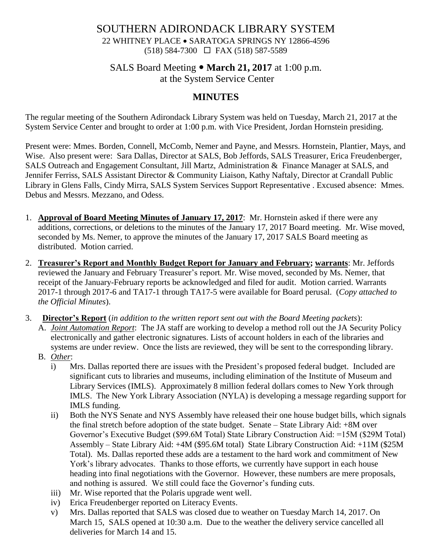#### SOUTHERN ADIRONDACK LIBRARY SYSTEM 22 WHITNEY PLACE • SARATOGA SPRINGS NY 12866-4596 (518) 584-7300 FAX (518) 587-5589

#### SALS Board Meeting **March 21, 2017** at 1:00 p.m. at the System Service Center

#### **MINUTES**

The regular meeting of the Southern Adirondack Library System was held on Tuesday, March 21, 2017 at the System Service Center and brought to order at 1:00 p.m. with Vice President, Jordan Hornstein presiding.

Present were: Mmes. Borden, Connell, McComb, Nemer and Payne, and Messrs. Hornstein, Plantier, Mays, and Wise. Also present were: Sara Dallas, Director at SALS, Bob Jeffords, SALS Treasurer, Erica Freudenberger, SALS Outreach and Engagement Consultant, Jill Martz, Administration & Finance Manager at SALS, and Jennifer Ferriss, SALS Assistant Director & Community Liaison, Kathy Naftaly, Director at Crandall Public Library in Glens Falls, Cindy Mirra, SALS System Services Support Representative . Excused absence: Mmes. Debus and Messrs. Mezzano, and Odess.

- 1. **Approval of Board Meeting Minutes of January 17, 2017**: Mr. Hornstein asked if there were any additions, corrections, or deletions to the minutes of the January 17, 2017 Board meeting. Mr. Wise moved, seconded by Ms. Nemer, to approve the minutes of the January 17, 2017 SALS Board meeting as distributed. Motion carried.
- 2. **Treasurer's Report and Monthly Budget Report for January and February; warrants**: Mr. Jeffords reviewed the January and February Treasurer's report. Mr. Wise moved, seconded by Ms. Nemer, that receipt of the January-February reports be acknowledged and filed for audit. Motion carried. Warrants 2017-1 through 2017-6 and TA17-1 through TA17-5 were available for Board perusal. (*Copy attached to the Official Minutes*).
- 3. **Director's Report** (*in addition to the written report sent out with the Board Meeting packets*):
	- A. *Joint Automation Report*: The JA staff are working to develop a method roll out the JA Security Policy electronically and gather electronic signatures. Lists of account holders in each of the libraries and systems are under review. Once the lists are reviewed, they will be sent to the corresponding library.
	- B. *Other*:
		- i) Mrs. Dallas reported there are issues with the President's proposed federal budget. Included are significant cuts to libraries and museums, including elimination of the Institute of Museum and Library Services (IMLS). Approximately 8 million federal dollars comes to New York through IMLS. The New York Library Association (NYLA) is developing a message regarding support for IMLS funding.
		- ii) Both the NYS Senate and NYS Assembly have released their one house budget bills, which signals the final stretch before adoption of the state budget. Senate – State Library Aid: +8M over Governor's Executive Budget (\$99.6M Total) State Library Construction Aid: =15M (\$29M Total) Assembly – State Library Aid: +4M (\$95.6M total) State Library Construction Aid: +11M (\$25M Total). Ms. Dallas reported these adds are a testament to the hard work and commitment of New York's library advocates. Thanks to those efforts, we currently have support in each house heading into final negotiations with the Governor. However, these numbers are mere proposals, and nothing is assured. We still could face the Governor's funding cuts.
		- iii) Mr. Wise reported that the Polaris upgrade went well.
		- iv) Erica Freudenberger reported on Literacy Events.
		- v) Mrs. Dallas reported that SALS was closed due to weather on Tuesday March 14, 2017. On March 15, SALS opened at 10:30 a.m. Due to the weather the delivery service cancelled all deliveries for March 14 and 15.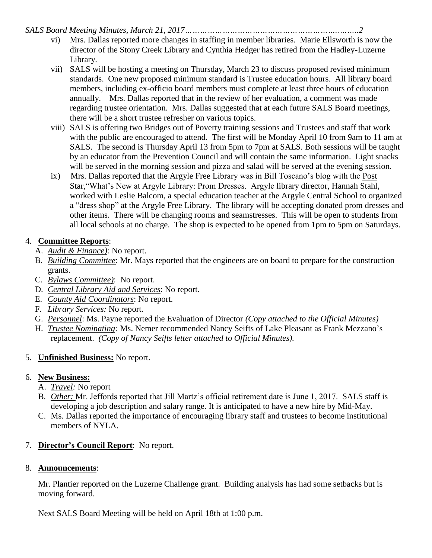*SALS Board Meeting Minutes, March 21, 2017……………………………………………………..……..2*

- vi) Mrs. Dallas reported more changes in staffing in member libraries. Marie Ellsworth is now the director of the Stony Creek Library and Cynthia Hedger has retired from the Hadley-Luzerne Library.
- vii) SALS will be hosting a meeting on Thursday, March 23 to discuss proposed revised minimum standards. One new proposed minimum standard is Trustee education hours. All library board members, including ex-officio board members must complete at least three hours of education annually. Mrs. Dallas reported that in the review of her evaluation, a comment was made regarding trustee orientation. Mrs. Dallas suggested that at each future SALS Board meetings, there will be a short trustee refresher on various topics.
- viii) SALS is offering two Bridges out of Poverty training sessions and Trustees and staff that work with the public are encouraged to attend. The first will be Monday April 10 from 9am to 11 am at SALS. The second is Thursday April 13 from 5pm to 7pm at SALS. Both sessions will be taught by an educator from the Prevention Council and will contain the same information. Light snacks will be served in the morning session and pizza and salad will be served at the evening session.
- ix) Mrs. Dallas reported that the Argyle Free Library was in Bill Toscano's blog with the Post Star,"What's New at Argyle Library: Prom Dresses. Argyle library director, Hannah Stahl, worked with Leslie Balcom, a special education teacher at the Argyle Central School to organized a "dress shop" at the Argyle Free Library. The library will be accepting donated prom dresses and other items. There will be changing rooms and seamstresses. This will be open to students from all local schools at no charge. The shop is expected to be opened from 1pm to 5pm on Saturdays.

#### 4. **Committee Reports**:

- A. *Audit & Finance)*: No report.
- B. *Building Committee*: Mr. Mays reported that the engineers are on board to prepare for the construction grants.
- C. *Bylaws Committee)*: No report.
- D. *Central Library Aid and Services*: No report.
- E. *County Aid Coordinators*: No report.
- F. *Library Services:* No report.
- G. *Personnel*: Ms. Payne reported the Evaluation of Director *(Copy attached to the Official Minutes)*
- H. *Trustee Nominating:* Ms. Nemer recommended Nancy Seifts of Lake Pleasant as Frank Mezzano's replacement. *(Copy of Nancy Seifts letter attached to Official Minutes).*

# 5. **Unfinished Business:** No report.

# 6. **New Business:**

- A. *Travel:* No report
- B. *Other:* Mr. Jeffords reported that Jill Martz's official retirement date is June 1, 2017. SALS staff is developing a job description and salary range. It is anticipated to have a new hire by Mid-May.
- C. Ms. Dallas reported the importance of encouraging library staff and trustees to become institutional members of NYLA.

# 7. **Director's Council Report**: No report.

# 8. **Announcements**:

Mr. Plantier reported on the Luzerne Challenge grant. Building analysis has had some setbacks but is moving forward.

Next SALS Board Meeting will be held on April 18th at 1:00 p.m.